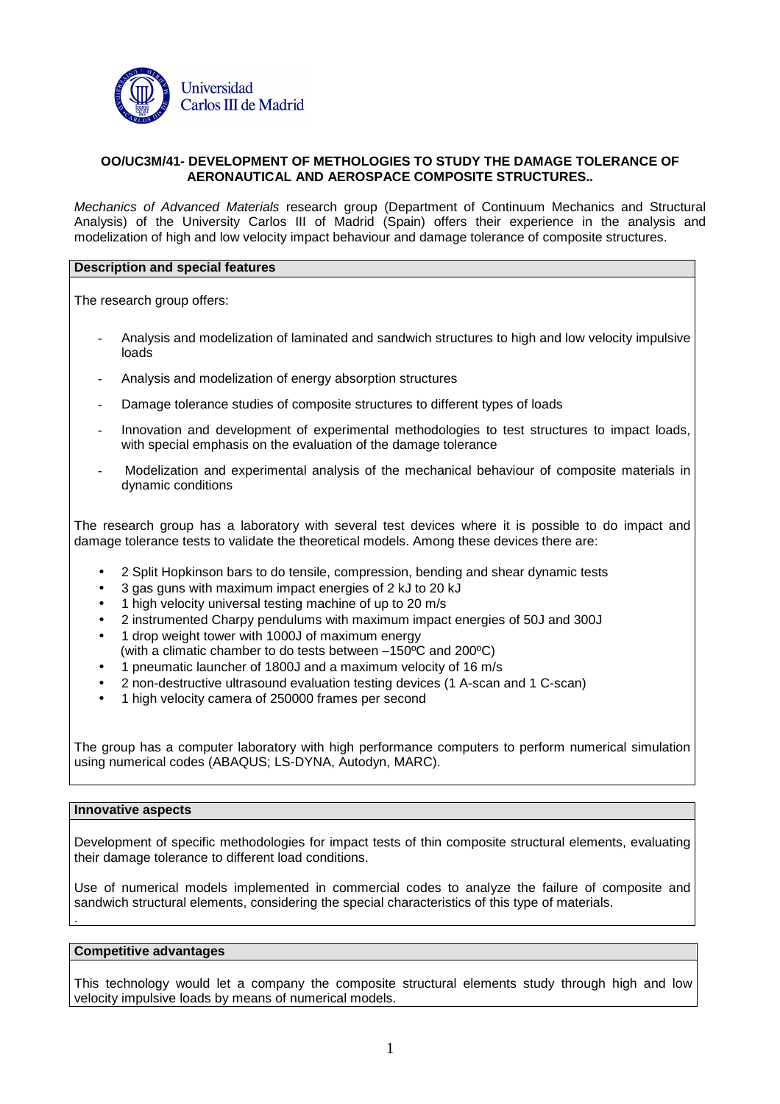

### **OO/UC3M/41- DEVELOPMENT OF METHOLOGIES TO STUDY THE DAMAGE TOLERANCE OF AERONAUTICAL AND AEROSPACE COMPOSITE STRUCTURES..**

Mechanics of Advanced Materials research group (Department of Continuum Mechanics and Structural Analysis) of the University Carlos III of Madrid (Spain) offers their experience in the analysis and modelization of high and low velocity impact behaviour and damage tolerance of composite structures.

### **Description and special features**

The research group offers:

- Analysis and modelization of laminated and sandwich structures to high and low velocity impulsive loads
- Analysis and modelization of energy absorption structures
- Damage tolerance studies of composite structures to different types of loads
- Innovation and development of experimental methodologies to test structures to impact loads, with special emphasis on the evaluation of the damage tolerance
- Modelization and experimental analysis of the mechanical behaviour of composite materials in dynamic conditions

The research group has a laboratory with several test devices where it is possible to do impact and damage tolerance tests to validate the theoretical models. Among these devices there are:

- 2 Split Hopkinson bars to do tensile, compression, bending and shear dynamic tests
- 3 gas guns with maximum impact energies of 2 kJ to 20 kJ
- 1 high velocity universal testing machine of up to 20 m/s
- 2 instrumented Charpy pendulums with maximum impact energies of 50J and 300J
- 1 drop weight tower with 1000J of maximum energy
- (with a climatic chamber to do tests between –150ºC and 200ºC)
- 1 pneumatic launcher of 1800J and a maximum velocity of 16 m/s
- 2 non-destructive ultrasound evaluation testing devices (1 A-scan and 1 C-scan)
- 1 high velocity camera of 250000 frames per second

The group has a computer laboratory with high performance computers to perform numerical simulation using numerical codes (ABAQUS; LS-DYNA, Autodyn, MARC).

## **Innovative aspects**

.

Development of specific methodologies for impact tests of thin composite structural elements, evaluating their damage tolerance to different load conditions.

Use of numerical models implemented in commercial codes to analyze the failure of composite and sandwich structural elements, considering the special characteristics of this type of materials.

#### **Competitive advantages**

This technology would let a company the composite structural elements study through high and low velocity impulsive loads by means of numerical models.